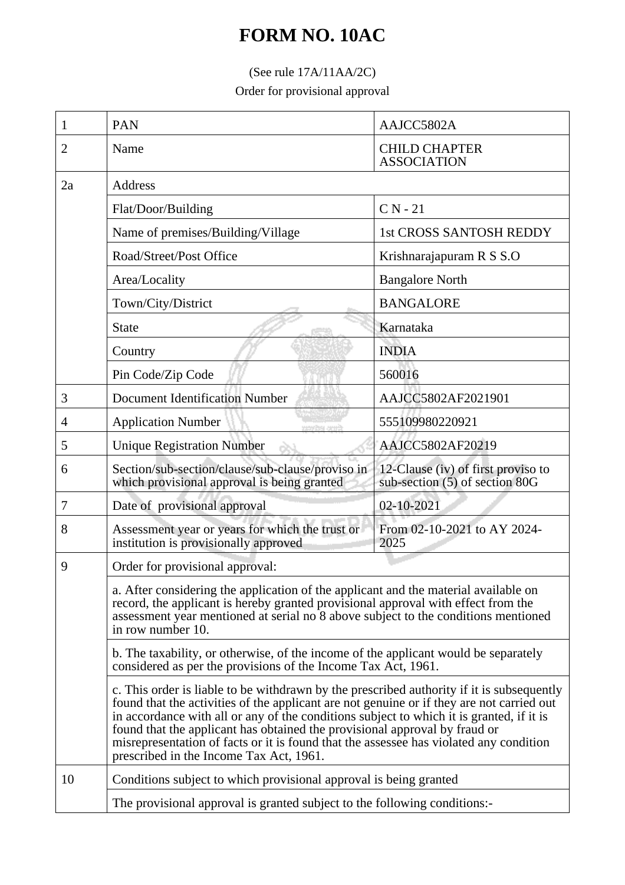## **FORM NO. 10AC**

## (See rule 17A/11AA/2C)

Order for provisional approval

| 1  | <b>PAN</b>                                                                                                                                                                                                                                                                                                                                                                                                                                                                                            | AAJCC5802A                                                           |  |
|----|-------------------------------------------------------------------------------------------------------------------------------------------------------------------------------------------------------------------------------------------------------------------------------------------------------------------------------------------------------------------------------------------------------------------------------------------------------------------------------------------------------|----------------------------------------------------------------------|--|
| 2  | Name                                                                                                                                                                                                                                                                                                                                                                                                                                                                                                  | <b>CHILD CHAPTER</b><br><b>ASSOCIATION</b>                           |  |
| 2a | Address                                                                                                                                                                                                                                                                                                                                                                                                                                                                                               |                                                                      |  |
|    | Flat/Door/Building                                                                                                                                                                                                                                                                                                                                                                                                                                                                                    | $CN - 21$                                                            |  |
|    | Name of premises/Building/Village                                                                                                                                                                                                                                                                                                                                                                                                                                                                     | 1st CROSS SANTOSH REDDY                                              |  |
|    | Road/Street/Post Office                                                                                                                                                                                                                                                                                                                                                                                                                                                                               | Krishnarajapuram R S S.O                                             |  |
|    | Area/Locality                                                                                                                                                                                                                                                                                                                                                                                                                                                                                         | <b>Bangalore North</b>                                               |  |
|    | Town/City/District                                                                                                                                                                                                                                                                                                                                                                                                                                                                                    | <b>BANGALORE</b>                                                     |  |
|    | <b>State</b>                                                                                                                                                                                                                                                                                                                                                                                                                                                                                          | Karnataka                                                            |  |
|    | Country                                                                                                                                                                                                                                                                                                                                                                                                                                                                                               | <b>INDIA</b>                                                         |  |
|    | Pin Code/Zip Code                                                                                                                                                                                                                                                                                                                                                                                                                                                                                     | 560016                                                               |  |
| 3  | <b>Document Identification Number</b>                                                                                                                                                                                                                                                                                                                                                                                                                                                                 | AAJCC5802AF2021901                                                   |  |
| 4  | <b>Application Number</b>                                                                                                                                                                                                                                                                                                                                                                                                                                                                             | 555109980220921                                                      |  |
| 5  | <b>Unique Registration Number</b>                                                                                                                                                                                                                                                                                                                                                                                                                                                                     | AAJCC5802AF20219                                                     |  |
| 6  | Section/sub-section/clause/sub-clause/proviso in<br>which provisional approval is being granted                                                                                                                                                                                                                                                                                                                                                                                                       | 12-Clause (iv) of first proviso to<br>sub-section (5) of section 80G |  |
| 7  | Date of provisional approval                                                                                                                                                                                                                                                                                                                                                                                                                                                                          | 02-10-2021                                                           |  |
| 8  | Assessment year or years for which the trust or<br>institution is provisionally approved                                                                                                                                                                                                                                                                                                                                                                                                              | From 02-10-2021 to AY 2024-<br>2025                                  |  |
| 9  | Order for provisional approval:                                                                                                                                                                                                                                                                                                                                                                                                                                                                       |                                                                      |  |
|    | a. After considering the application of the applicant and the material available on<br>record, the applicant is hereby granted provisional approval with effect from the<br>assessment year mentioned at serial no 8 above subject to the conditions mentioned<br>in row number 10.                                                                                                                                                                                                                   |                                                                      |  |
|    | b. The taxability, or otherwise, of the income of the applicant would be separately<br>considered as per the provisions of the Income Tax Act, 1961.                                                                                                                                                                                                                                                                                                                                                  |                                                                      |  |
|    | c. This order is liable to be withdrawn by the prescribed authority if it is subsequently<br>found that the activities of the applicant are not genuine or if they are not carried out<br>in accordance with all or any of the conditions subject to which it is granted, if it is<br>found that the applicant has obtained the provisional approval by fraud or<br>misrepresentation of facts or it is found that the assessee has violated any condition<br>prescribed in the Income Tax Act, 1961. |                                                                      |  |
| 10 | Conditions subject to which provisional approval is being granted<br>The provisional approval is granted subject to the following conditions:-                                                                                                                                                                                                                                                                                                                                                        |                                                                      |  |
|    |                                                                                                                                                                                                                                                                                                                                                                                                                                                                                                       |                                                                      |  |